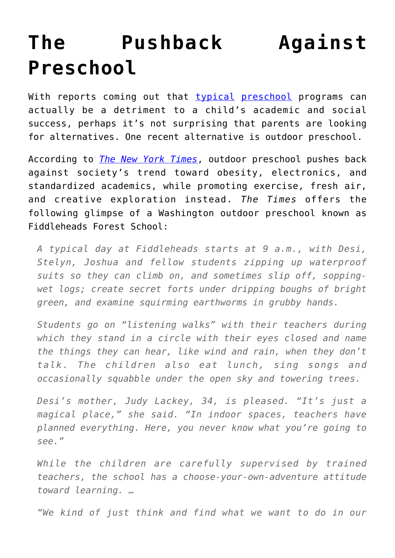## **[The Pushback Against](https://intellectualtakeout.org/2015/12/the-pushback-against-preschool/) [Preschool](https://intellectualtakeout.org/2015/12/the-pushback-against-preschool/)**

With reports coming out that [typical](https://www.intellectualtakeout.org/blog/new-study-universal-preschool-may-hurt-children-not-help) [preschool](https://www.intellectualtakeout.org/blog/aaaand-another-study-says-preschool-hurts-not-helps) programs can actually be a detriment to a child's academic and social success, perhaps it's not surprising that parents are looking for alternatives. One recent alternative is outdoor preschool.

According to *[The New York Times](http://www.nytimes.com/2015/12/31/fashion/outdoor-preschool-in-nature.html?partner=rss&emc=rss)*, outdoor preschool pushes back against society's trend toward obesity, electronics, and standardized academics, while promoting exercise, fresh air, and creative exploration instead. *The Times* offers the following glimpse of a Washington outdoor preschool known as Fiddleheads Forest School:

*A typical day at Fiddleheads starts at 9 a.m., with Desi, Stelyn, Joshua and fellow students zipping up waterproof suits so they can climb on, and sometimes slip off, soppingwet logs; create secret forts under dripping boughs of bright green, and examine squirming earthworms in grubby hands.*

*Students go on "listening walks" with their teachers during which they stand in a circle with their eyes closed and name the things they can hear, like wind and rain, when they don't talk. The children also eat lunch, sing songs and occasionally squabble under the open sky and towering trees.*

*Desi's mother, Judy Lackey, 34, is pleased. "It's just a magical place," she said. "In indoor spaces, teachers have planned everything. Here, you never know what you're going to see."*

*While the children are carefully supervised by trained teachers, the school has a choose-your-own-adventure attitude toward learning. …*

*"We kind of just think and find what we want to do in our*